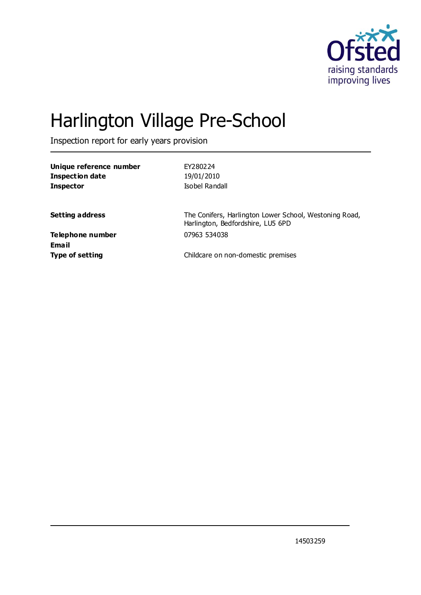

# Harlington Village Pre-School

Inspection report for early years provision

| Unique reference number | EY280224                                                                                    |
|-------------------------|---------------------------------------------------------------------------------------------|
| Inspection date         | 19/01/2010                                                                                  |
| <b>Inspector</b>        | Isobel Randall                                                                              |
|                         |                                                                                             |
| <b>Setting address</b>  | The Conifers, Harlington Lower School, Westoning Road,<br>Harlington, Bedfordshire, LU5 6PD |
| Telephone number        | 07963 534038                                                                                |
| Email                   |                                                                                             |
| <b>Type of setting</b>  | Childcare on non-domestic premises                                                          |
|                         |                                                                                             |

14503259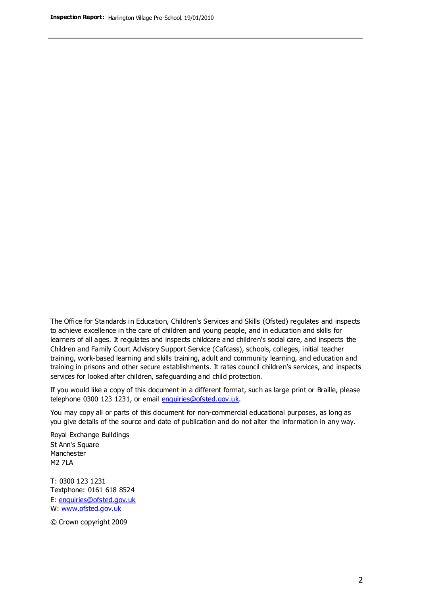The Office for Standards in Education, Children's Services and Skills (Ofsted) regulates and inspects to achieve excellence in the care of children and young people, and in education and skills for learners of all ages. It regulates and inspects childcare and children's social care, and inspects the Children and Family Court Advisory Support Service (Cafcass), schools, colleges, initial teacher training, work-based learning and skills training, adult and community learning, and education and training in prisons and other secure establishments. It rates council children's services, and inspects services for looked after children, safeguarding and child protection.

If you would like a copy of this document in a different format, such as large print or Braille, please telephone 0300 123 1231, or email enquiries@ofsted.gov.uk.

You may copy all or parts of this document for non-commercial educational purposes, as long as you give details of the source and date of publication and do not alter the information in any way.

Royal Exchange Buildings St Ann's Square Manchester M2 7LA

T: 0300 123 1231 Textphone: 0161 618 8524 E: enquiries@ofsted.gov.uk W: [www.ofsted.gov.uk](http://www.ofsted.gov.uk/)

© Crown copyright 2009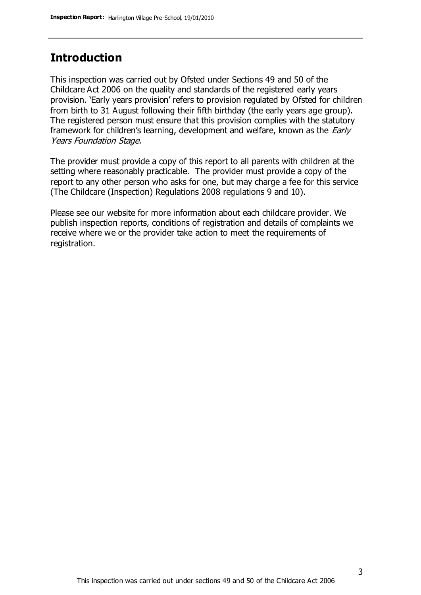### **Introduction**

This inspection was carried out by Ofsted under Sections 49 and 50 of the Childcare Act 2006 on the quality and standards of the registered early years provision. 'Early years provision' refers to provision regulated by Ofsted for children from birth to 31 August following their fifth birthday (the early years age group). The registered person must ensure that this provision complies with the statutory framework for children's learning, development and welfare, known as the *Early* Years Foundation Stage.

The provider must provide a copy of this report to all parents with children at the setting where reasonably practicable. The provider must provide a copy of the report to any other person who asks for one, but may charge a fee for this service (The Childcare (Inspection) Regulations 2008 regulations 9 and 10).

Please see our website for more information about each childcare provider. We publish inspection reports, conditions of registration and details of complaints we receive where we or the provider take action to meet the requirements of registration.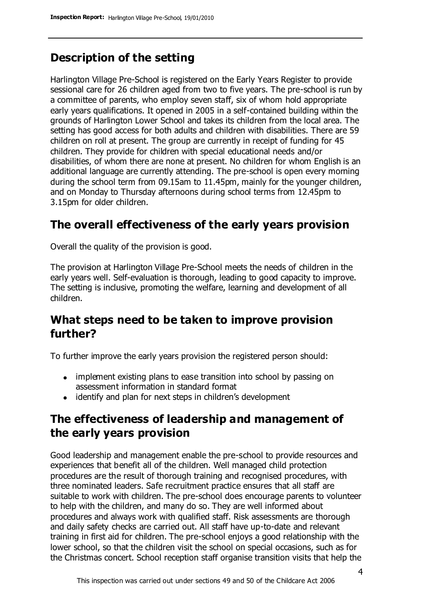# **Description of the setting**

Harlington Village Pre-School is registered on the Early Years Register to provide sessional care for 26 children aged from two to five years. The pre-school is run by a committee of parents, who employ seven staff, six of whom hold appropriate early years qualifications. It opened in 2005 in a self-contained building within the grounds of Harlington Lower School and takes its children from the local area. The setting has good access for both adults and children with disabilities. There are 59 children on roll at present. The group are currently in receipt of funding for 45 children. They provide for children with special educational needs and/or disabilities, of whom there are none at present. No children for whom English is an additional language are currently attending. The pre-school is open every morning during the school term from 09.15am to 11.45pm, mainly for the younger children, and on Monday to Thursday afternoons during school terms from 12.45pm to 3.15pm for older children.

# **The overall effectiveness of the early years provision**

Overall the quality of the provision is good.

The provision at Harlington Village Pre-School meets the needs of children in the early years well. Self-evaluation is thorough, leading to good capacity to improve. The setting is inclusive, promoting the welfare, learning and development of all children.

# **What steps need to be taken to improve provision further?**

To further improve the early years provision the registered person should:

- implement existing plans to ease transition into school by passing on assessment information in standard format
- identify and plan for next steps in children's development

# **The effectiveness of leadership and management of the early years provision**

Good leadership and management enable the pre-school to provide resources and experiences that benefit all of the children. Well managed child protection procedures are the result of thorough training and recognised procedures, with three nominated leaders. Safe recruitment practice ensures that all staff are suitable to work with children. The pre-school does encourage parents to volunteer to help with the children, and many do so. They are well informed about procedures and always work with qualified staff. Risk assessments are thorough and daily safety checks are carried out. All staff have up-to-date and relevant training in first aid for children. The pre-school enjoys a good relationship with the lower school, so that the children visit the school on special occasions, such as for the Christmas concert. School reception staff organise transition visits that help the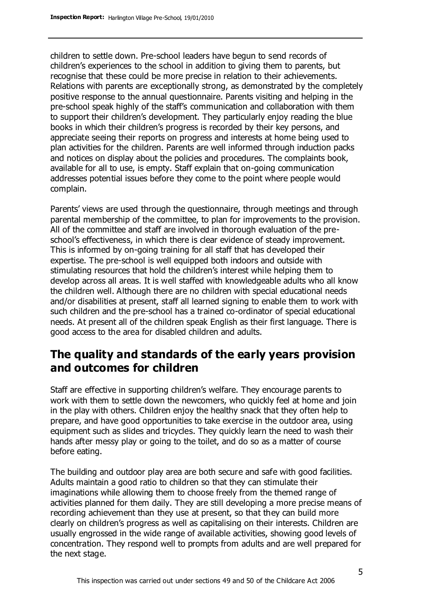children to settle down. Pre-school leaders have begun to send records of children's experiences to the school in addition to giving them to parents, but recognise that these could be more precise in relation to their achievements. Relations with parents are exceptionally strong, as demonstrated by the completely positive response to the annual questionnaire. Parents visiting and helping in the pre-school speak highly of the staff's communication and collaboration with them to support their children's development. They particularly enjoy reading the blue books in which their children's progress is recorded by their key persons, and appreciate seeing their reports on progress and interests at home being used to plan activities for the children. Parents are well informed through induction packs and notices on display about the policies and procedures. The complaints book, available for all to use, is empty. Staff explain that on-going communication addresses potential issues before they come to the point where people would complain.

Parents' views are used through the questionnaire, through meetings and through parental membership of the committee, to plan for improvements to the provision. All of the committee and staff are involved in thorough evaluation of the preschool's effectiveness, in which there is clear evidence of steady improvement. This is informed by on-going training for all staff that has developed their expertise. The pre-school is well equipped both indoors and outside with stimulating resources that hold the children's interest while helping them to develop across all areas. It is well staffed with knowledgeable adults who all know the children well. Although there are no children with special educational needs and/or disabilities at present, staff all learned signing to enable them to work with such children and the pre-school has a trained co-ordinator of special educational needs. At present all of the children speak English as their first language. There is good access to the area for disabled children and adults.

# **The quality and standards of the early years provision and outcomes for children**

Staff are effective in supporting children's welfare. They encourage parents to work with them to settle down the newcomers, who quickly feel at home and join in the play with others. Children enjoy the healthy snack that they often help to prepare, and have good opportunities to take exercise in the outdoor area, using equipment such as slides and tricycles. They quickly learn the need to wash their hands after messy play or going to the toilet, and do so as a matter of course before eating.

The building and outdoor play area are both secure and safe with good facilities. Adults maintain a good ratio to children so that they can stimulate their imaginations while allowing them to choose freely from the themed range of activities planned for them daily. They are still developing a more precise means of recording achievement than they use at present, so that they can build more clearly on children's progress as well as capitalising on their interests. Children are usually engrossed in the wide range of available activities, showing good levels of concentration. They respond well to prompts from adults and are well prepared for the next stage.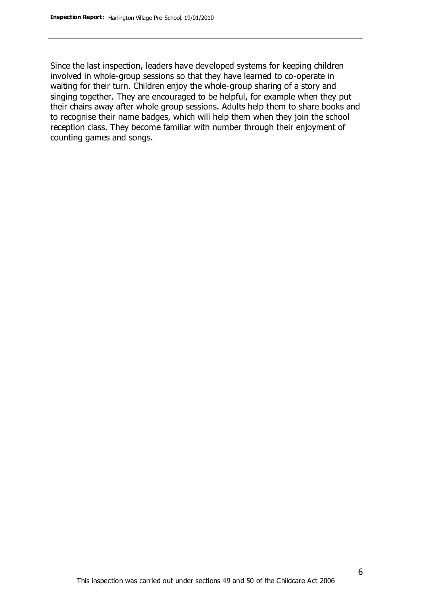Since the last inspection, leaders have developed systems for keeping children involved in whole-group sessions so that they have learned to co-operate in waiting for their turn. Children enjoy the whole-group sharing of a story and singing together. They are encouraged to be helpful, for example when they put their chairs away after whole group sessions. Adults help them to share books and to recognise their name badges, which will help them when they join the school reception class. They become familiar with number through their enjoyment of counting games and songs.